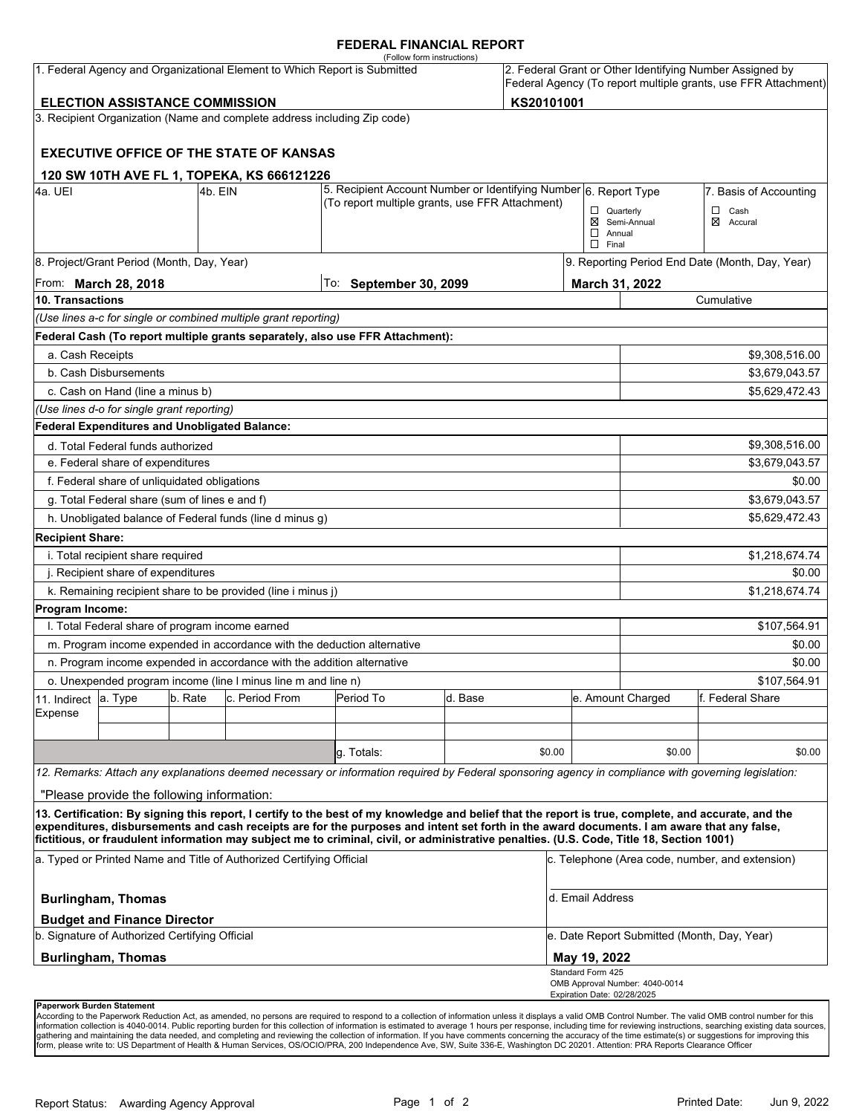#### **FEDERAL FINANCIAL REPORT**

|                            |                                                 |         | 1. Federal Agency and Organizational Element to Which Report is Submitted | (Follow form instructions)                                                                                                                                                                                                                                                                                                                                                                                                                      |         |            |                                                   |                                             | 2. Federal Grant or Other Identifying Number Assigned by       |
|----------------------------|-------------------------------------------------|---------|---------------------------------------------------------------------------|-------------------------------------------------------------------------------------------------------------------------------------------------------------------------------------------------------------------------------------------------------------------------------------------------------------------------------------------------------------------------------------------------------------------------------------------------|---------|------------|---------------------------------------------------|---------------------------------------------|----------------------------------------------------------------|
|                            |                                                 |         |                                                                           |                                                                                                                                                                                                                                                                                                                                                                                                                                                 |         |            |                                                   |                                             | Federal Agency (To report multiple grants, use FFR Attachment) |
|                            | <b>ELECTION ASSISTANCE COMMISSION</b>           |         |                                                                           |                                                                                                                                                                                                                                                                                                                                                                                                                                                 |         | KS20101001 |                                                   |                                             |                                                                |
|                            |                                                 |         | 3. Recipient Organization (Name and complete address including Zip code)  |                                                                                                                                                                                                                                                                                                                                                                                                                                                 |         |            |                                                   |                                             |                                                                |
|                            |                                                 |         | <b>EXECUTIVE OFFICE OF THE STATE OF KANSAS</b>                            |                                                                                                                                                                                                                                                                                                                                                                                                                                                 |         |            |                                                   |                                             |                                                                |
|                            |                                                 |         | 120 SW 10TH AVE FL 1, TOPEKA, KS 666121226                                |                                                                                                                                                                                                                                                                                                                                                                                                                                                 |         |            |                                                   |                                             |                                                                |
| 4a. UEI                    |                                                 | 4b. EIN |                                                                           | 5. Recipient Account Number or Identifying Number 6. Report Type<br>(To report multiple grants, use FFR Attachment)                                                                                                                                                                                                                                                                                                                             |         |            |                                                   |                                             | 7. Basis of Accounting                                         |
|                            |                                                 |         |                                                                           |                                                                                                                                                                                                                                                                                                                                                                                                                                                 |         |            | $\Box$ Quarterly<br>$\Box$ Annual<br>$\Box$ Final | ⊠ Semi-Annual                               | $\Box$ Cash<br>⊠ Accural                                       |
|                            | 8. Project/Grant Period (Month, Day, Year)      |         |                                                                           |                                                                                                                                                                                                                                                                                                                                                                                                                                                 |         |            |                                                   |                                             | 9. Reporting Period End Date (Month, Day, Year)                |
|                            | From: <b>March 28, 2018</b>                     |         |                                                                           | To: September 30, 2099                                                                                                                                                                                                                                                                                                                                                                                                                          |         |            | March 31, 2022                                    |                                             |                                                                |
| 10. Transactions           |                                                 |         |                                                                           |                                                                                                                                                                                                                                                                                                                                                                                                                                                 |         |            |                                                   |                                             | Cumulative                                                     |
|                            |                                                 |         | (Use lines a-c for single or combined multiple grant reporting)           |                                                                                                                                                                                                                                                                                                                                                                                                                                                 |         |            |                                                   |                                             |                                                                |
|                            |                                                 |         |                                                                           | Federal Cash (To report multiple grants separately, also use FFR Attachment):                                                                                                                                                                                                                                                                                                                                                                   |         |            |                                                   |                                             |                                                                |
| a. Cash Receipts           |                                                 |         |                                                                           |                                                                                                                                                                                                                                                                                                                                                                                                                                                 |         |            |                                                   |                                             | \$9,308,516.00                                                 |
|                            | b. Cash Disbursements                           |         |                                                                           |                                                                                                                                                                                                                                                                                                                                                                                                                                                 |         |            |                                                   |                                             | \$3,679,043.57                                                 |
|                            | c. Cash on Hand (line a minus b)                |         |                                                                           |                                                                                                                                                                                                                                                                                                                                                                                                                                                 |         |            |                                                   |                                             | \$5,629,472.43                                                 |
|                            | (Use lines d-o for single grant reporting)      |         |                                                                           |                                                                                                                                                                                                                                                                                                                                                                                                                                                 |         |            |                                                   |                                             |                                                                |
|                            | Federal Expenditures and Unobligated Balance:   |         |                                                                           |                                                                                                                                                                                                                                                                                                                                                                                                                                                 |         |            |                                                   |                                             |                                                                |
|                            | d. Total Federal funds authorized               |         |                                                                           |                                                                                                                                                                                                                                                                                                                                                                                                                                                 |         |            |                                                   |                                             | \$9,308,516.00                                                 |
|                            | e. Federal share of expenditures                |         |                                                                           |                                                                                                                                                                                                                                                                                                                                                                                                                                                 |         |            |                                                   |                                             | \$3,679,043.57                                                 |
|                            | f. Federal share of unliquidated obligations    |         |                                                                           |                                                                                                                                                                                                                                                                                                                                                                                                                                                 |         |            |                                                   |                                             | \$0.00                                                         |
|                            | g. Total Federal share (sum of lines e and f)   |         |                                                                           |                                                                                                                                                                                                                                                                                                                                                                                                                                                 |         |            |                                                   |                                             | \$3,679,043.57                                                 |
|                            |                                                 |         | h. Unobligated balance of Federal funds (line d minus g)                  |                                                                                                                                                                                                                                                                                                                                                                                                                                                 |         |            |                                                   |                                             | \$5,629,472.43                                                 |
| <b>Recipient Share:</b>    |                                                 |         |                                                                           |                                                                                                                                                                                                                                                                                                                                                                                                                                                 |         |            |                                                   |                                             |                                                                |
|                            | i. Total recipient share required               |         |                                                                           |                                                                                                                                                                                                                                                                                                                                                                                                                                                 |         |            |                                                   |                                             | \$1,218,674.74                                                 |
|                            | j. Recipient share of expenditures              |         |                                                                           |                                                                                                                                                                                                                                                                                                                                                                                                                                                 |         |            |                                                   |                                             | \$0.00                                                         |
|                            |                                                 |         | k. Remaining recipient share to be provided (line i minus j)              |                                                                                                                                                                                                                                                                                                                                                                                                                                                 |         |            |                                                   |                                             | \$1,218,674.74                                                 |
| Program Income:            |                                                 |         |                                                                           |                                                                                                                                                                                                                                                                                                                                                                                                                                                 |         |            |                                                   |                                             |                                                                |
|                            | I. Total Federal share of program income earned |         |                                                                           |                                                                                                                                                                                                                                                                                                                                                                                                                                                 |         |            |                                                   |                                             | \$107,564.91                                                   |
|                            |                                                 |         | m. Program income expended in accordance with the deduction alternative   |                                                                                                                                                                                                                                                                                                                                                                                                                                                 |         |            |                                                   |                                             | \$0.00                                                         |
|                            |                                                 |         | n. Program income expended in accordance with the addition alternative    |                                                                                                                                                                                                                                                                                                                                                                                                                                                 |         |            |                                                   |                                             | \$0.00                                                         |
|                            |                                                 |         | o. Unexpended program income (line I minus line m and line n)             |                                                                                                                                                                                                                                                                                                                                                                                                                                                 |         |            |                                                   |                                             | \$107,564.91                                                   |
| 11. Indirect               | a. Type                                         | b. Rate | c. Period From                                                            | Period To                                                                                                                                                                                                                                                                                                                                                                                                                                       | d. Base |            |                                                   | e. Amount Charged                           | f. Federal Share                                               |
| Expense                    |                                                 |         |                                                                           |                                                                                                                                                                                                                                                                                                                                                                                                                                                 |         |            |                                                   |                                             |                                                                |
|                            |                                                 |         |                                                                           |                                                                                                                                                                                                                                                                                                                                                                                                                                                 |         |            |                                                   |                                             |                                                                |
|                            |                                                 |         |                                                                           | q. Totals:                                                                                                                                                                                                                                                                                                                                                                                                                                      |         | \$0.00     |                                                   | \$0.00                                      | \$0.00                                                         |
|                            |                                                 |         |                                                                           | 12. Remarks: Attach any explanations deemed necessary or information required by Federal sponsoring agency in compliance with governing legislation:                                                                                                                                                                                                                                                                                            |         |            |                                                   |                                             |                                                                |
|                            | "Please provide the following information:      |         |                                                                           |                                                                                                                                                                                                                                                                                                                                                                                                                                                 |         |            |                                                   |                                             |                                                                |
|                            |                                                 |         |                                                                           | 13. Certification: By signing this report, I certify to the best of my knowledge and belief that the report is true, complete, and accurate, and the<br>expenditures, disbursements and cash receipts are for the purposes and intent set forth in the award documents. I am aware that any false,<br>fictitious, or fraudulent information may subject me to criminal, civil, or administrative penalties. (U.S. Code, Title 18, Section 1001) |         |            |                                                   |                                             |                                                                |
|                            |                                                 |         | a. Typed or Printed Name and Title of Authorized Certifying Official      |                                                                                                                                                                                                                                                                                                                                                                                                                                                 |         |            |                                                   |                                             | c. Telephone (Area code, number, and extension)                |
|                            | <b>Burlingham, Thomas</b>                       |         |                                                                           |                                                                                                                                                                                                                                                                                                                                                                                                                                                 |         |            | d. Email Address                                  |                                             |                                                                |
|                            | <b>Budget and Finance Director</b>              |         |                                                                           |                                                                                                                                                                                                                                                                                                                                                                                                                                                 |         |            |                                                   |                                             |                                                                |
|                            | b. Signature of Authorized Certifying Official  |         |                                                                           |                                                                                                                                                                                                                                                                                                                                                                                                                                                 |         |            |                                                   | e. Date Report Submitted (Month, Day, Year) |                                                                |
|                            | <b>Burlingham, Thomas</b>                       |         |                                                                           |                                                                                                                                                                                                                                                                                                                                                                                                                                                 |         |            | May 19, 2022                                      |                                             |                                                                |
|                            |                                                 |         |                                                                           |                                                                                                                                                                                                                                                                                                                                                                                                                                                 |         |            | Standard Form 425<br>Expiration Date: 02/28/2025  | OMB Approval Number: 4040-0014              |                                                                |
| Paperwork Burden Statement |                                                 |         |                                                                           |                                                                                                                                                                                                                                                                                                                                                                                                                                                 |         |            |                                                   |                                             |                                                                |

According to the Paperwork Reduction Act, as amended, no persons are required to respond to a collection of information unless it displays a valid OMB Control Number. The valid OMB control number for this<br>information colle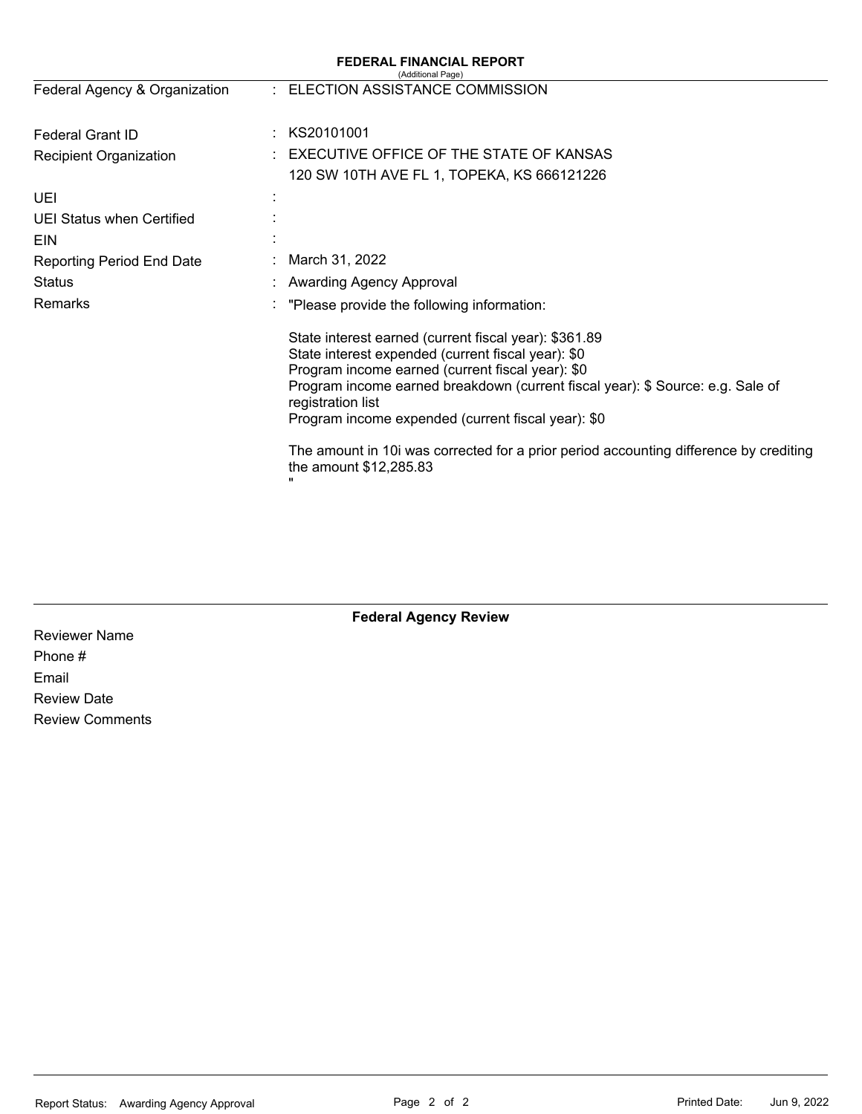|                                                   | <b>FEDERAL FINANCIAL REPORT</b><br>(Additional Page)                                                                                                                                                                                                                                                                         |
|---------------------------------------------------|------------------------------------------------------------------------------------------------------------------------------------------------------------------------------------------------------------------------------------------------------------------------------------------------------------------------------|
| Federal Agency & Organization                     | : ELECTION ASSISTANCE COMMISSION                                                                                                                                                                                                                                                                                             |
| <b>Federal Grant ID</b>                           | KS20101001                                                                                                                                                                                                                                                                                                                   |
| <b>Recipient Organization</b>                     | EXECUTIVE OFFICE OF THE STATE OF KANSAS<br>120 SW 10TH AVE FL 1, TOPEKA, KS 666121226                                                                                                                                                                                                                                        |
| UEI                                               |                                                                                                                                                                                                                                                                                                                              |
| UEI Status when Certified                         |                                                                                                                                                                                                                                                                                                                              |
| EIN                                               | March 31, 2022                                                                                                                                                                                                                                                                                                               |
| <b>Reporting Period End Date</b><br><b>Status</b> | <b>Awarding Agency Approval</b>                                                                                                                                                                                                                                                                                              |
| Remarks                                           | "Please provide the following information:                                                                                                                                                                                                                                                                                   |
|                                                   | State interest earned (current fiscal year): \$361.89<br>State interest expended (current fiscal year): \$0<br>Program income earned (current fiscal year): \$0<br>Program income earned breakdown (current fiscal year): \$ Source: e.g. Sale of<br>registration list<br>Program income expended (current fiscal year): \$0 |
|                                                   | The amount in 10 was corrected for a prior period accounting difference by crediting<br>the amount \$12,285.83<br>                                                                                                                                                                                                           |

**Federal Agency Review** 

Reviewer Name Phone # Email Review Date Review Comments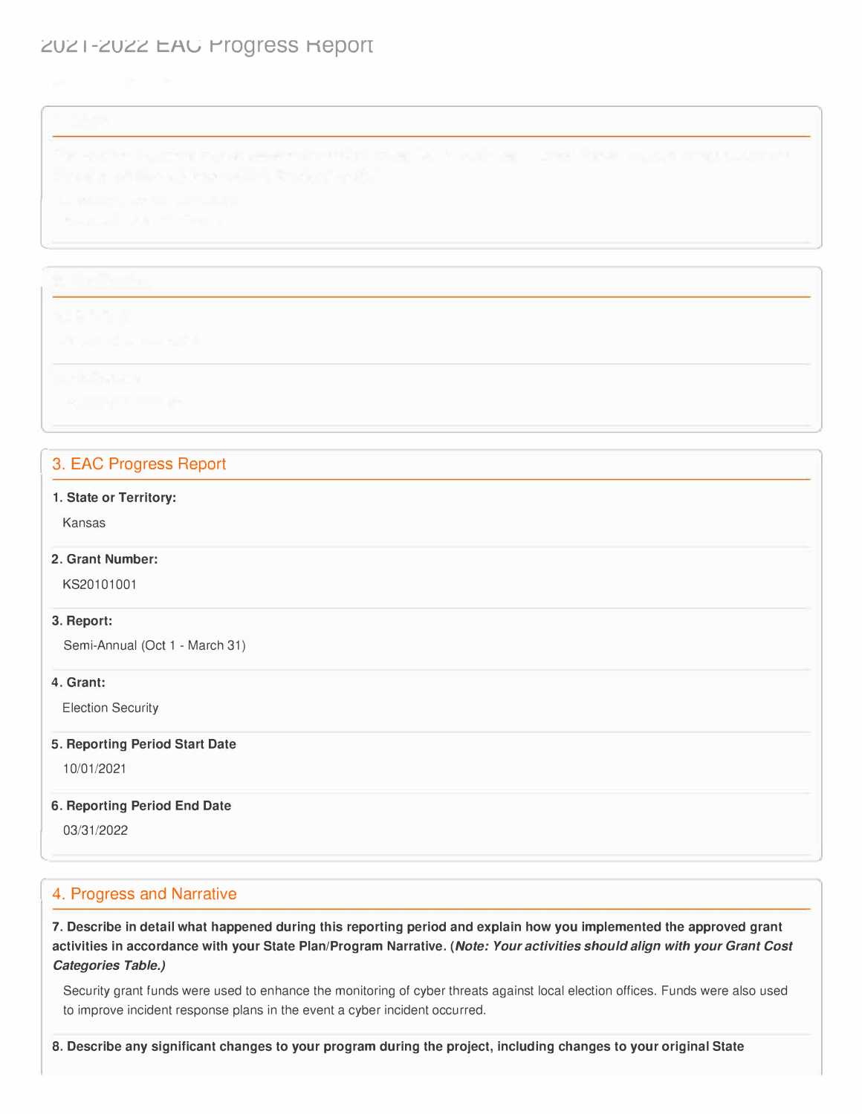# ZUZ 1-ZUZZ EAU Progress Report

l

## 3. EAC Progress Report

### **1. State or Territory:**

Kansas

### **2. Grant Number:**

KS20101001

#### **3. Report:**

Semi-Annual (Oct 1 - March 31)

### **4. Grant:**

Election Security

### **5. Reporting Period Start Date**

10/01/2021

### **6. Reporting Period End Date**

03/31/2022

l

## 4. Progress and Narrative

**7. Describe in detail what happened during this reporting period and explain how you implemented the approved grant activities in accordance with your State Plan/Program Narrative.** *(Note: Your activities should align with your Grant Cost Categories Table.)* 

Security grant funds were used to enhance the monitoring of cyber threats against local election offices. Funds were also used to improve incident response plans in the event a cyber incident occurred.

**8. Describe any significant changes to your program during the project, including changes to your original State**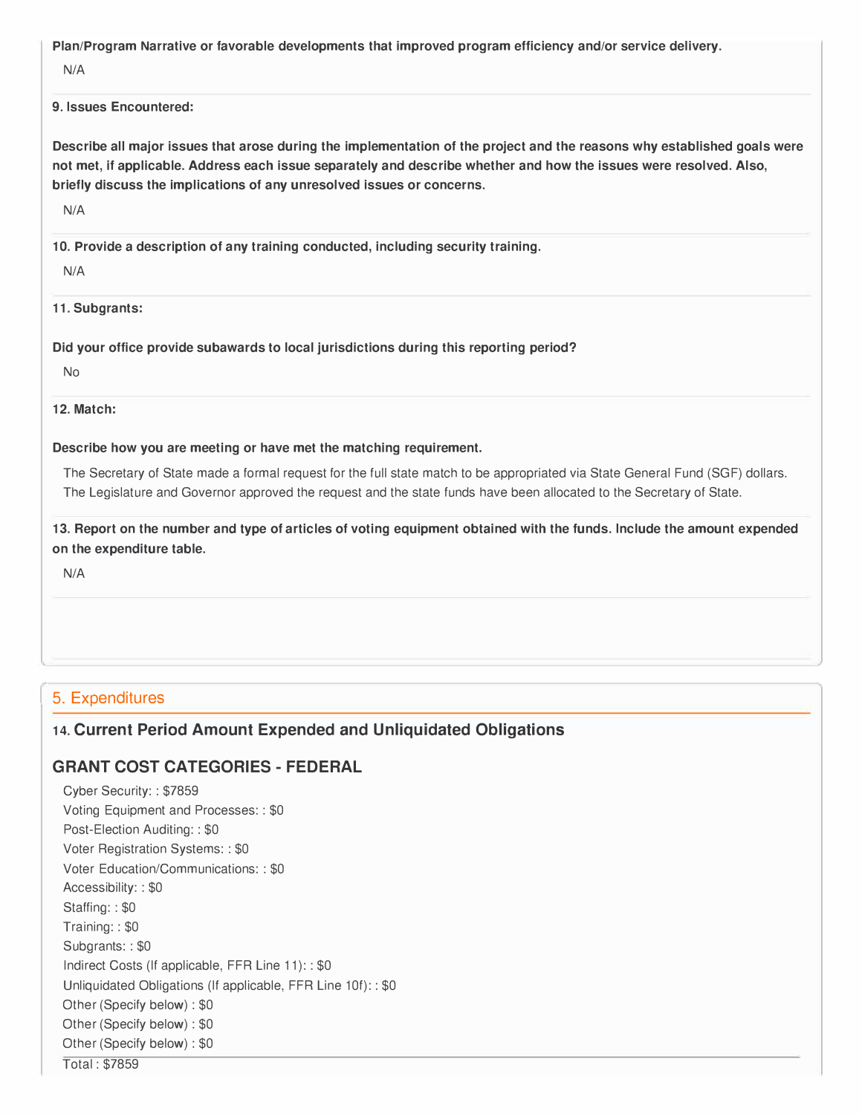**Plan/Program Narrative or favorable developments that improved program efficiency and/or service delivery.** 

N/A

### **9. Issues Encountered:**

**Describe all major issues that arose during the implementation of the project and the reasons why established goals were not met, if applicable. Address each issue separately and describe whether and how the issues were resolved. Also, briefly discuss the implications of any unresolved issues or concerns.** 

N/A

**10. Provide a description of any training conducted, including security training.**

N/A

**11. Subgrants:**

**Did your office provide subawards to local jurisdictions during this reporting period?** 

No

**12. Match:**

#### **Describe how you are meeting or have met the matching requirement.**

The Secretary of State made a formal request for the full state match to be appropriated via State General Fund (SGF) dollars. The Legislature and Governor approved the request and the state funds have been allocated to the Secretary of State.

**13. Report on the number and type of articles of voting equipment obtained with the funds. Include the amount expended on the expenditure table.** 

N/A

## 5. Expenditures

## **14. Current Period Amount Expended and Unliquidated Obligations**

## **GRANT COST CATEGORIES- FEDERAL**

Cyber Security: : \$7859 Voting Equipment and Processes: : \$0 Post-Election Auditing:: \$0 Voter Registration Systems: : \$0 Voter Education/Communications: : \$0 Accessibility: : \$0 Staffing: : \$0 Training: : \$0 Subgrants: : \$0 Indirect Costs (If applicable, FFR Line 11): : \$0 Unliquidated Obligations (If applicable, FFR Line 10f): : \$0 Other (Specify below) : \$0 Other (Specify below) : \$0 Other (Specify below) : \$0 Total : \$7859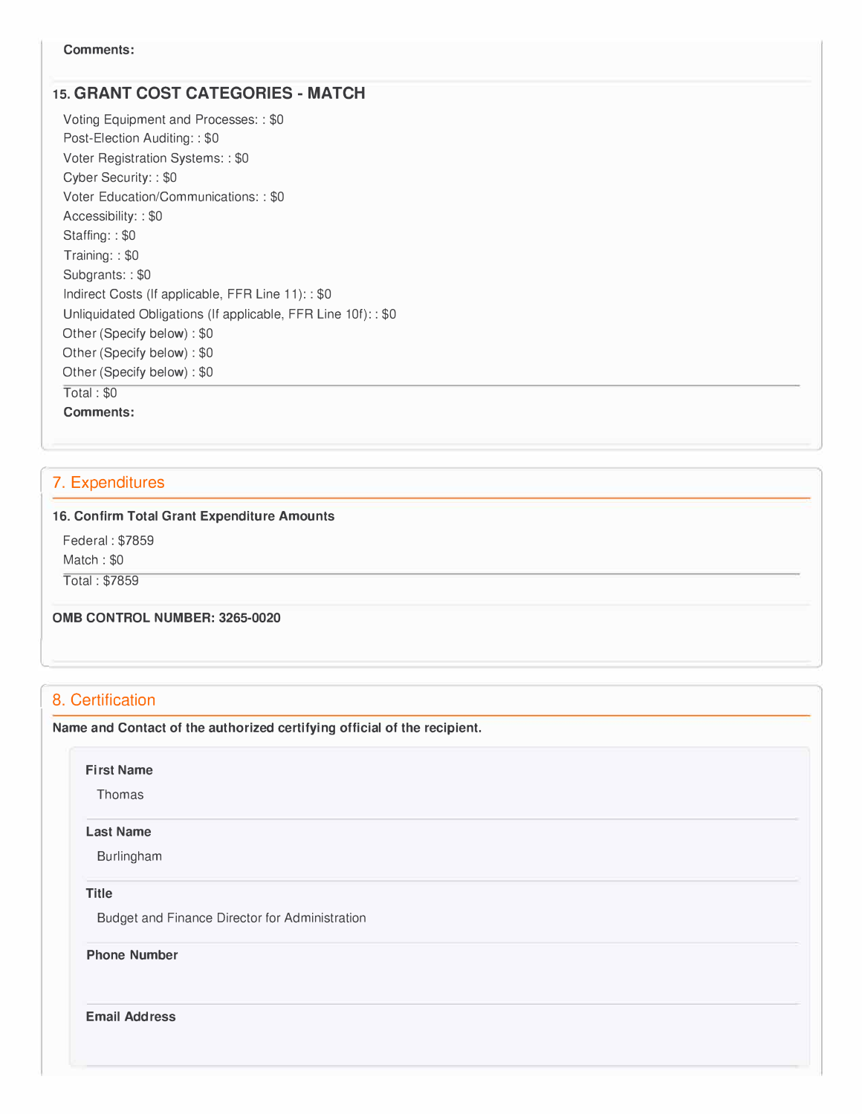## **15. GRANT COST CATEGORIES- MATCH**

Voting Equipment and Processes: : \$0 Post-Election Auditing:: \$0 Voter Registration Systems: : \$0 Cyber Security: : \$0 Voter Education/Communications: : \$0 Accessibility: : \$0 Staffing: : \$0 Training: : \$0 Subgrants: : \$0 Indirect Costs (If applicable, FFR Line 11): : \$0 Unliquidated Obligations (If applicable, FFR Line 10f): : \$0 Other (Specify below) : \$0 Other (Specify below) : \$0 Other (Specify below) : \$0 Total : \$0 **Comments:** 

## 7. Expenditures

#### **16. Confirm Total Grant Expenditure Amounts**

Federal : \$7859 Match : \$0

Total : \$7859

**0MB CONTROL NUMBER: 3265-0020** 

## 8. Certification

L

**Name and Contact of the authorized certifying official of the recipient.** 

-,

#### **First Name**

Thomas

#### **Last Name**

Burlingham

## **Title**

Budget and Finance Director for Administration

**Phone Number** 

**Email Address**